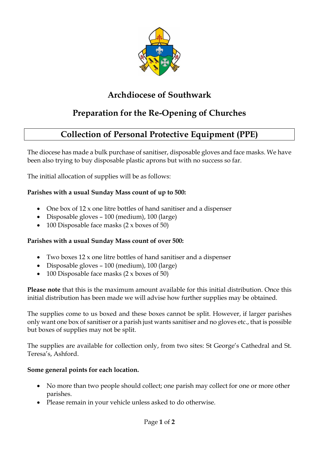

# **Archdiocese of Southwark**

# **Preparation for the Re-Opening of Churches**

## **Collection of Personal Protective Equipment (PPE)**

The diocese has made a bulk purchase of sanitiser, disposable gloves and face masks. We have been also trying to buy disposable plastic aprons but with no success so far.

The initial allocation of supplies will be as follows:

#### **Parishes with a usual Sunday Mass count of up to 500:**

- One box of 12 x one litre bottles of hand sanitiser and a dispenser
- Disposable gloves 100 (medium), 100 (large)
- 100 Disposable face masks (2 x boxes of 50)

#### **Parishes with a usual Sunday Mass count of over 500:**

- Two boxes 12 x one litre bottles of hand sanitiser and a dispenser
- Disposable gloves 100 (medium), 100 (large)
- 100 Disposable face masks  $(2 \times$  boxes of 50)

**Please note** that this is the maximum amount available for this initial distribution. Once this initial distribution has been made we will advise how further supplies may be obtained.

The supplies come to us boxed and these boxes cannot be split. However, if larger parishes only want one box of sanitiser or a parish just wants sanitiser and no gloves etc., that is possible but boxes of supplies may not be split.

The supplies are available for collection only, from two sites: St George's Cathedral and St. Teresa's, Ashford.

#### **Some general points for each location.**

- No more than two people should collect; one parish may collect for one or more other parishes.
- Please remain in your vehicle unless asked to do otherwise.